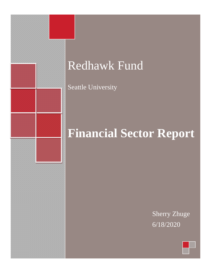

# Redhawk Fund

Seattle University

# **Financial Sector Report**

Sherry Zhuge 6/18/2020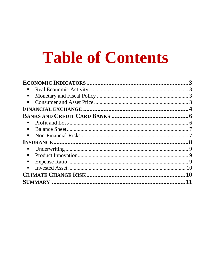# **Table of Contents**

| п              |  |
|----------------|--|
| п              |  |
| $\blacksquare$ |  |
|                |  |
|                |  |
| п              |  |
| п              |  |
| п              |  |
|                |  |
|                |  |
| ш              |  |
|                |  |
| п              |  |
|                |  |
|                |  |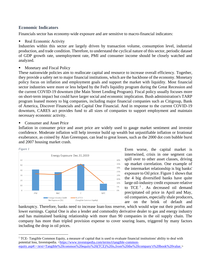# <span id="page-2-0"></span>**Economic Indicators**

Financials sector has economy-wide exposure and are sensitive to macro-financial indicators:

<span id="page-2-1"></span>**Real Economic Activity** 

Industries within this sector are largely driven by transaction volume, consumption level, industrial production, and trade condition. Therefore, to understand the cyclical nature of this sector, periodic dataset of GDP growth rate, unemployment rate, PMI and consumer income should be closely watched and analyzed.

<span id="page-2-2"></span>Monetary and Fiscal Policy

These nationwide policies aim to reallocate capital and resource to increase overall efficiency. Together, they provide a safety net to major financial institutions, which are the backbone of the economy. Monetary policy focus on inflation and employment goals and support the market with liquidity. Most financial sector industries were more or less helped by the Fed's liquidity program during the Great Recession and the current COVID-19 downturn (the Main Street Lending Program). Fiscal policy usually focuses more on short-term impact but could have larger social and economic implication. Bush administration's TARP program loaned money to big companies, including major financial companies such as Citigroup, Bank of America, Discover Financials and Capital One Financial. And in response to the current COVID-19 downturn, CARES act provides fund to all sizes of companies to support employment and maintain necessary economic activity.

<span id="page-2-3"></span>**Consumer and Asset Price** 

Inflation in consumer price and asset price are widely used to gauge market sentiment and investor confidence. Moderate inflation will help investor build up wealth but unjustifiable inflation or Irrational exuberance, as coined by Alan Greenspan, can lead to great losses, such as the 2000 dot com bubble burst and 2007 housing market crash.



Even worse, the capital market is intertwined, crisis in one segment can spill over to other asset classes, driving up market correlation. One example of the intermarket relationship is big banks' exposure to Oil price. Figure 1 shows that the 4 big diversified banks have quite large oil-industry credit exposure relative to  $TCE<sup>1</sup>$ . As decreased oil demand precipitated oil price in April and May, oil companies, especially shale producers, are on the brink of default and

bankruptcy. Therefore, banks need to increase loan-loss reserve, which would wipe out their profits and lower earnings. Capital One is also a lender and commodity derivative dealer to gas and energy industry and has maintained banking relationship with more than 90 companies in the oil supply chain. The company has more than tripled provision expense to cover souring loans, triggered by many factors including the drop in oil prices.

<sup>1</sup> TCE- Tangible Common Equity, a measure of capital that is used to evaluate financial institutions' ability to deal with potential loss, Investopedia. [<https://www.investopedia.com/terms/t/tangible-common](https://www.investopedia.com/terms/t/tangible-common-equity.asp#:~:text=Tangible%20common%20equity%20(TCE)%20is,from%20the%20company)[equity.asp#:~:text=Tangible%20common%20equity%20\(TCE\)%20is,from%20the%20company's%20book%20value.>](https://www.investopedia.com/terms/t/tangible-common-equity.asp#:~:text=Tangible%20common%20equity%20(TCE)%20is,from%20the%20company)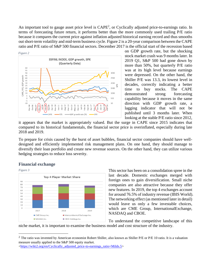An important tool to gauge asset price level is CAPE<sup>2</sup>, or Cyclically adjusted price-to-earnings ratio. In terms of forecasting future return, it performs better than the more commonly used trailing P/E ratio because it compares the current price against inflation adjusted historical earning record and thus smooths out short-term volatility and mid-term business cycle. Figure 2 is a 20-year comparison between the CAPE ratio and P/E ratio of S&P 500 financial sectors. December 2017 is the official start of the recession based



on GDP growth rate, but the shocking stock market crash was 9 months later. In 2019 Q1, S&P 500 had gone down by more than 50%, but quarterly P/E ratio was at its high level because earnings were depressed. On the other hand, the Shiller P/E was 13.3, its lowest level in decades, correctly indicating a better time to buy stocks. The CAPE demonstrated strong forecasting capability because it moves in the same direction with GDP growth rate, a lagging indicator that will not be published until 3 months later. When looking at the stable P/E ratio since 2012,

it appears that the market is appropriately valued. But the surge in CAPE since 2015 indicates that compared to its historical fundamentals, the financial sector price is overinflated, especially during late 2018 and 2019.

To prepare for crisis caused by the burst of asset bubbles, financial sector companies should have welldesigned and efficiently implemented risk management plans. On one hand, they should manage to diversify their loan portfolio and create new revenue sources. On the other hand, they can utilize various hedging strategies to reduce loss severity.

# <span id="page-3-0"></span>**Financial exchange**

![](_page_3_Figure_6.jpeg)

This sector has been on a consolidation spree in the last decade. Domestic exchanges merged with foreign ones to gain diversification. Small niche companies are also attractive because they offer new features. In 2019, the top 4 exchanges account for around 76.5% of industry revenue (IBIS World). The networking effect (as mentioned later in detail) would leave us only a few investable choices, which are CME Group, InternationalExchange, NASDAQ and CBOE.

To understand the competitive landscape of this niche market, it is important to examine the business model and cost structure of the industry.

[<https://wiki2.org/en/Cyclically\\_adjusted\\_price-to-earnings\\_ratio+Milds.5>](https://wiki2.org/en/Cyclically_adjusted_price-to-earnings_ratio+Milds.5)

 $2$  The ratio was invented by American economist Robert Shiller, also known as Shiller P/E or P/E 10 ratio. It is a valuation measure usually applied to the S&P 500 equity market.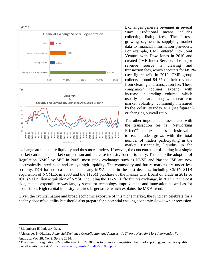#### *Figure 4*

![](_page_4_Figure_1.jpeg)

*Figure 5*

![](_page_4_Figure_3.jpeg)

Exchanges generate revenues in several ways. Traditional means includes collecting listing fees. The fastestgrowing segment is supplying market data to financial information providers. For example, CME entered into Joint Venture with Dow Jones in 2010 and created CME Index Service. The major revenue source is clearing and transaction fees, which accounts for 68.1% (see figure  $4^3$ ). In 2019. CME group collects around 84 % of their revenue from clearing and transaction fee. These companies' toplines expand with increase in trading volume, which usually appears along with near-term market volatility, commonly measured by the Volatility Index/VIX (see figure 5) or changing put/call ratio.

The other import factor associated with the transaction fee is "Networking Effect<sup>"4</sup> - the exchange's intrinsic value to each trader grows with the total number of traders participating in the market. Essentially, liquidity in the

exchange attracts more liquidity and thus more traders. However, the concentration of trading in a single market can impede market competition and increase industry barrier to entry. Thanks to the adoption of Regulation NMS<sup>5</sup> by SEC in 2005, most stock exchanges such as NYSE and Nasdaq ISE are now electronically interlinked and enjoys high liquidity. The commodity and future markets are under less scrutiny. DOJ has not casted doubt on any M&A deals in the past decades, including CME's \$11B acquisition of NYMEX in 2008 and the \$126M purchase of the Kansas City Board of Trade in 2012 or ICE's \$11 billion acquisition of NYSE, including the NYSE Liffe futures exchange, in 2013. On the cost side, capital expenditure was largely spent for technology improvement and innovation as well as for acquisition. High capital intensity requires larger scale, which explains the M&A trend.

Given the cyclical nature and broad economic exposure of this niche market, the fund can celebrate for a healthy dose of volatility but should also prepare for a potential ensuing economic slowdown or recession.

<sup>3</sup> Bloomberg BI Industry Data.

<sup>4</sup> Alexander P. Okuliar, '*Financial Exchange Consolidation and Antitrust: Is There a Need for More Intervention?*',

Antitrust, Vol. 28, No. 2, Spring 2014.

<sup>&</sup>lt;sup>5</sup> The intent of Regulation NMS, effective Aug.29 2005, is to promote competition, fair market pricing, and service quality in overall equity market. [<https://www.sec.gov/rules/final/34-51808.pdf>](https://www.sec.gov/rules/final/34-51808.pdf)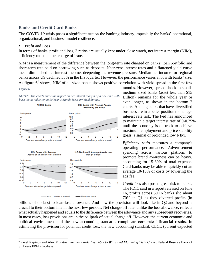# <span id="page-5-0"></span>**Banks and Credit Card Banks**

The COVID-19 crisis poses a significant test on the banking industry, especially the banks' operational, organizational, and business-model resilience.

### <span id="page-5-1"></span>Profit and Loss

In terms of banks' profit and loss, 3 ratios are usually kept under close watch, net interest margin (NIM), efficiency ratio and net charge off rate.

*NIM* is a measurement of the difference between the long-term rate charged on banks' loan portfolio and short-term rate paid on borrowing such as deposits. Near-zero interest rates and a flattened yield curve mean diminished net interest income, deepening the revenue pressure. Median net income for regional banks across US declined 33% in the first quarter. However, the performance varies a lot with banks' size. As figure  $6<sup>6</sup>$  shows, NIM of all-sized banks shows positive correlation with yield spread in the first few

#### *Figure 6*

![](_page_5_Figure_6.jpeg)

![](_page_5_Figure_7.jpeg)

months. However, spread shock to smallmedium sized banks (asset less than \$15 Billion) remains for the whole year or even longer, as shown in the bottom 2 charts. And big banks that have diversified business are in a better position to manage interest rate risk. The Fed has announced to maintain a target interest rate of 0-0.25% until the economy is on track to achieve maximum employment and price stability goals, a signal of prolonged low NIM.

*Efficiency ratio* measures a company's operating performance. Advertisement spending across various platform to promote brand awareness can be heavy, accounting for 15-30% of total expense. Card-banks may be able to quickly cut an average 10-15% of costs by lowering the ads fee.

*Credit loss* also posed great risk to banks. The FDIC said in a report released on June 16, profits across 5,116 banks slid about 70% in Q1 as they diverted profits (in

billions of dollars) to loan-loss allowance. And how the provision will look like in Q2 and beyond is crucial to their bottom line in the next few periods. Net charge-off rate, unlike the loss allowance, reflects what actually happened and equals to the difference between the allowance and any subsequent recoveries. In most cases, loss provisions are in the ballpark of actual charge off. However, the current economic and political environment and the new accounting standards complicate corporates' financial results. In estimating the provision for potential credit loss, the new accounting standard, CECL (current expected

<sup>6</sup> Pavel Kapinos and Alex Musatov, *Smaller Banks Less Able to Withstand Flattening Yield Curve*, Federal Reserve Bank of St. Louis FRED database.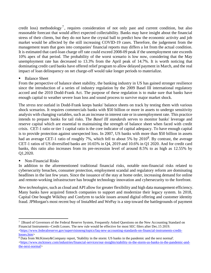credit loss) methodology<sup>7</sup>, requires consideration of not only past and current condition, but also reasonable forecast that would affect expected collectability. Banks may have insight about the financial stress of their clients, but they do not have the crystal ball to predict how the economic activity and job market would be affected by the still increasing COVID-19 cases. Therefore, the judgement from the management team that goes into companies' financial reports may differs a lot from the actual condition. It is estimated that card-loan charge off rate could exceed 2008-09 peak if the unemployment rate exceeds 10% apex of that period. The probability of the worst scenario is low now, considering that the May unemployment rate has decreased to 13.3% from the April peak of 14.7%. It is worth noticing that dominating credit card banks have offered relief program to allow delayed payment in March, and the real impact of loan delinquency on net charge-off would take longer periods to materialize.

<span id="page-6-0"></span>**Balance Sheet** 

From the perspective of balance sheet stability, the banking industry in US has gained stronger resilience since the introduction of a series of industry regulation by the 2009 Basel III international regulatory accord and the 2010 Dodd-Frank Act. The purpose of these regulation is to make sure that banks have enough capital to weather severe loan loss and sound process to survive major market shock.

The *stress test* outlaid in Dodd-Frank keeps banks' balance sheets on track by testing them with various shock scenarios. It requires commercials banks with \$50 billion or more in assets to undergo sensitivity analysis with changing variables, such as an increase in interest rate or in unemployment rate. This practice intends to prepare banks for tail risks. The *Basel III standards* serves to monitor banks' leverage and reserve capital which are essential to maintaining the strength of balance sheet when faced with credit crisis. CET-1 ratio or tier 1 capital ratio is the core indicator of capital adequacy. To have enough capital is to provide protection against unexpected loss. In 2007, US banks with more than \$50 billion in assets had an average CET-1 ratio of roughly 7%, which fell to about 5% by  $2010^8$ . By contrast, the average CET-1 ratios of US diversified banks are 10.65% in Q4, 2019 and 10.6% in Q1 2020. And for credit card banks, this ratio also increases from its pre-recession level of around 8.5% to as high as 12.55% by Q1,2020.

<span id="page-6-1"></span>Non-Financial Risks

In addition to the aforementioned traditional financial risks, notable non-financial risks related to cybersecurity breaches, consumer protection, employment scandal and regulatory reform are dominating headlines in the last few years. Since the issuance of the stay at home order, increasing demand for online and remote-working infrastructure has brought technology innovation and cybersecurity to the forefront.

*New technologies*, such as cloud and API allow for greater flexibility and high data management efficiency. Many banks have acquired fintech companies to support and modernize their legacy system. In 2018, Capital One bought Wikibuy and Confyrm to tackle issues around digital offering and customer identity fraud. JPMorgan's most recent buy of InstaMed and WePay is a step toward the battlegrounds of payment

<sup>7</sup> [Board of Governors of the Federal Reserve System, Frequently Asked Questions on the New Accounting Standard on Financial Instruments--Credit Losses. The new rule would be effective for most SEC filers after Dec.15 2019.  $\lt$ https://www.federalreserve.gov/supervisionreg/topics/faq-new-accounting-standards-on-financial-instruments-credit[losses.htm>](https://www.federalreserve.gov/supervisionreg/topics/faq-new-accounting-standards-on-financial-instruments-credit-losses.htm)

<sup>8</sup> Data from McKinsey&Company report, 'Stability in the storm: US banks in the pandemic and the next normal'.  $\langle$ https://www.mckinsey.com/industries/financial-services/our-insights/stability-in-the-storm-us-banks-in-the-pandemic-and[the-next-normal>](https://www.mckinsey.com/industries/financial-services/our-insights/stability-in-the-storm-us-banks-in-the-pandemic-and-the-next-normal)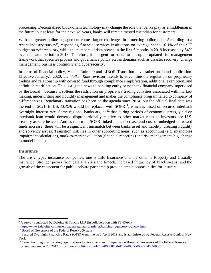processing. Decentralized block-chain technology may change the role that banks play as a middleman in the future, but at least for the next 3-5 years, banks will remain trusted custodian for customers

With the greater online engagement comes larger challenges in protecting online data. According to a recent industry survey<sup>9</sup>, responding financial services institutions on average spend 10.1% of their IT budget on *cybersecurity*, while the numbers of data breach in the first 6 months in 2019 increased by 54% over the same period in 2018. Therefore, it is urgent for banks to put up an updated risk management framework that specifies process and governance policy across domains such as disaster recovery, change management, business continuity and cybersecurity.

In terms of financial policy, Volker Rule 2.0 and LIBOR Transition have rather profound implication. Effective January.1 2020, the *Volker Rule* revision intends to streamline the regulation on proprietary trading and relationship with covered fund through compliance simplification, additional exemption, and definition clarification. This is a good news to banking entity or nonbank financial company supervised by the Board<sup>10</sup> because it softens the restriction on proprietary trading activities associated with marketmaking, underwriting and liquidity management and makes the compliance program tailed to company of different sizes. Benchmark transition has been on the agenda since 2014, but the official final date was the end of 2021. In US, *LIBOR* would be replaced with  $S\text{OFR}^{11}$ , which is based on secured interbank overnight interest rate. Some regional banks argued<sup>12</sup> that during periods of economic stress, yield on interbank loan would decrease disproportionally relative to other market rates as investors see U.S. treasury as safe heaven. And as return on SOFR-linked loans decrease and cost of unhedged borrowed funds increase, there will be a significant mismatch between banks asset and liability, creating liquidity and solvency issues. Transition risk lies in other supporting areas, such as accounting (e.g. intangibles impairment calculation), mark-to-market valuation (financial reporting) and risk management (e.g. change in model inputs).

# <span id="page-7-0"></span>**Insurance**

The are 2 types insurance companies, one is Life Insurance and the other is Property and Casualty insurance. Stronger power from data analytics and fintech, increased frequency of 'black swans' and the growth of the ecosystem for public-private partnership provide ample opportunities for insurers.

<sup>&</sup>lt;sup>9</sup> A survey conducted by Deloitte & Touche LLP (in collaboration with FS-ISAC)

 $\langle \frac{\text{https://www2.deloitte.com/us/en/pages/regularory/article/banking-regulator-v-outlook.html}}$ 

<sup>&</sup>lt;sup>10</sup> Board of Governors of the Federal Reserve System

<sup>&</sup>lt;sup>11</sup> Secured Overnight Financing Rate (SOFR) went live on 3 April 2019 and is administered by Federal Reserve Bank of New York

 $12$  Letter from regional banking organizations to vice chairman of Supervision Board of Governors of the Federal Reserve System, September 23, 2019[. https://www.politico.com/f/?id=0000016d-d15d-d0d8-af6d-f77d6c5f0001](https://www.politico.com/f/?id=0000016d-d15d-d0d8-af6d-f77d6c5f0001)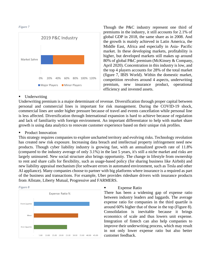```
Figure 7
```
![](_page_8_Figure_1.jpeg)

Though the P&C industry represent one third of premiums in the industry, it still accounts for 2.1% of global GDP in 2018, the same share as in 2008. And the growth is mainly achieved in Latin America, the Middle East, Africa and especially in Asia- Pacific market. In these developing markets, profitability is higher, but developed markets still makes up around 80% of global P&C premium (McKinsey & Company, April 2020). Concentration in this industry is low, and the top 4 players accounts for 28% of the total market (figure 7, IBIS World). Within the domestic market, competition revolves around 4 aspects, underwriting premium, new insurance product, operational efficiency and invested assets.

# <span id="page-8-0"></span>**Underwriting**

Underwriting premium is a major determinant of revenue. Diversification through proper capital between personal and commercial lines is important for risk management. During the COVID-19 shock, commercial lines are under higher pressure because of travel and events cancellation while personal line is less affected. Diversification through International expansion is hard to achieve because of regulation and lack of familiarity with foreign environment. An important differentiator to help with market share growth is using data analytics to renovate customer experience based on their unique risk profiles.

# <span id="page-8-1"></span>Product Innovation

This strategy requires companies to explore uncharted territory and evolving risks. Technology revolution has created new risk exposure. Increasing data breach and intellectual property infringement need new products. Though cyber liability industry is growing fast, with an annualized growth rate of 11.8% (compared to the industry average of only 3.1%) in the last 5 years, it's still a niche market and risks are largely uninsured. New social structure also brings opportunity. The change in lifestyle from ownership to rent and share calls for flexibility, such as usage-based policy (for sharing business like Airbnb) and new liability appraisal mechanism (for software errors in automated environment, such as Tesla and other AI appliance). Many companies choose to partner with big platforms where insurance is a required as part of the business and transactions. For example, Uber provides rideshare drivers with insurance products from Allstate, Liberty Mutual, Progressive and FARMERS.

![](_page_8_Figure_7.jpeg)

# **Expense Ratio**

<span id="page-8-2"></span>There has been a widening gap of expense ratio between industry leaders and laggards. The average expense ratio for companies in the third quartile is around 60% higher that of those in the top (Figure 8). Consolidation is inevitable because it brings economics of scale and thus lowers unit expense. Integration of fintech can also help companies to improve their underwriting process, which may result in not only lower expense ratio but also better customer feedback.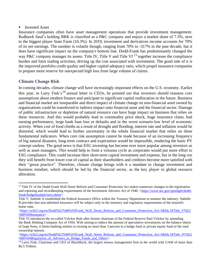# <span id="page-9-0"></span>**Invested Asset**

Insurance companies often have asset management operations that provide investment management. Redhawk fund's holding BRK is classified as a P&C company and enjoys a market share of 7.3%, next to the biggest player State Farm (10.3%). In 2019, investment and derivatives income accounts for 70% of its net earnings. The number is volatile though, ranging from 70% to -317% in the past decade, but it does have significant impact on the company's bottom line. Dodd-Frank has predominantly changed the way P&C company manages its assets. Title IV, Title V and Title VI  $^{13}$  together increase the compliance burden and limit trading activities, driving up the cost associated with investment. The good side of it is the improved portfolio credit quality and higher capital adequacy ratio, which propel insurance companies to prepare more reserve for unexpected high loss from large volume of claims.

# <span id="page-9-1"></span>**Climate Change Risk**

In coming decades, climate change will have increasingly important effects on the U.S. economy. Earlier this year, in Larry Fink's<sup>14</sup> annual letter to CEOs, he pointed out that investors should reassess core assumptions about modern finance and anticipate to significant capital reallocation in the future. Business and financial market are inseparable and direct impact of climate change on non-financial asset owned by organizations could be transferred to indirect impact onto financial asset and the financial sector. Damage of public infrastructure or depletion of natural resource can have huge impact on business that relies on these resources. And this would probably lead to commodity price shock, huge insurance claim, bad earning performance, large bank loan loss or defaults and in the worst scenario low level of economic activity. When cost of food climbs as a result of drought and flooding, interest rate and inflation would be distorted, which would lead to further uncertainty in the whole financial market that relies on these fundamental indicators. When core risk assumption cannot be made because of an increasing frequency of big natural disasters, long-term contract and expectation would be impossible, rendering the basic PV concept useless. The good news is that ESG investing has become ever more popular among investors as well as asset managers. This would help to form a virtuous cycle as corporates would put more effort to ESG compliance. This could increase their short-term capital investment and expense, but in the long run they will benefit from lower cost of capital as their shareholders and creditors become more satisfied with their "green practice". Therefore, climate change brings with it a mandate to change investment and business mindset, which should be led by the financial sector, as the key player in global resource allocation.

<sup>&</sup>lt;sup>13</sup> Title IV of the Dodd-Frank Wall Street Reform and Consumer Protection Act makes numerous changes to the registration and reporting and recordkeeping requirements of the Investment Advisers Act of 1940. [<https://www.sec.gov/spotlight/dodd](https://www.sec.gov/spotlight/dodd-frank/hedgefundadvisers.shtml)[frank/hedgefundadvisers.shtml>](https://www.sec.gov/spotlight/dodd-frank/hedgefundadvisers.shtml)

Title V: Subtitle A established the Federal Insurance Office within the Treasury Department to monitor the industry. Subtitle B provides that non-admitted insurance will be subject only to the statutory and regulatory requirements of the insured's home state.

[<sup>&</sup>lt;https://wiki2.org/en/Dodd%E2%80%93Frank\\_Wall\\_Street\\_Reform\\_and\\_Consumer\\_Protection\\_Act+Milds.5#Title\\_V%E2](https://wiki2.org/en/Dodd%E2%80%93Frank_Wall_Street_Reform_and_Consumer_Protection_Act+Milds.5#Title_V%E2%80%94Insurance) [%80%94Insurance>](https://wiki2.org/en/Dodd%E2%80%93Frank_Wall_Street_Reform_and_Consumer_Protection_Act+Milds.5#Title_V%E2%80%94Insurance)

Title VI introduces the so-called Volcker Rule after former chairman of the Federal Reserve Paul Volcker by amending the Bank Holding Company Act of 1956. With aiming to reduce the amount of speculative investments on the balance sheets of large firms, it limits banking entities to owning no more than 3 percent in a hedge fund or private equity fund of the total ownership interest.

[<sup>&</sup>lt;https://wiki2.org/en/Dodd%E2%80%93Frank\\_Wall\\_Street\\_Reform\\_and\\_Consumer\\_Protection\\_Act+Milds.5#Title\\_IV%E2](https://wiki2.org/en/Dodd%E2%80%93Frank_Wall_Street_Reform_and_Consumer_Protection_Act+Milds.5#Title_IV%E2%80%94Regulation_of_Advisers_to_Hedge_Funds_and_Others) %80%94Regulation of Advisers to Hedge Funds and Others>

<sup>&</sup>lt;sup>14</sup> Larry Fink, Chairman and CEO of BlackRock, the largest money management firm in the world with UAM of more than \$6.5 Trillion.